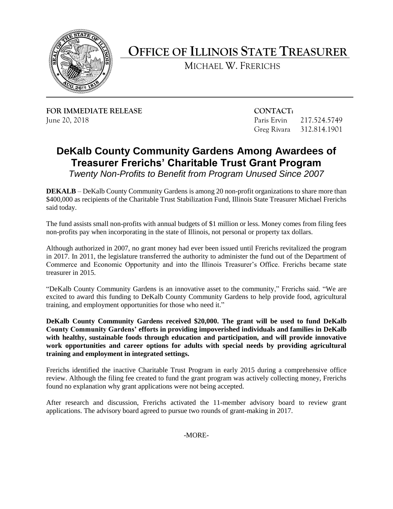

## **OFFICE OF ILLINOIS STATE TREASURER**

MICHAEL W. FRERICHS

**FOR IMMEDIATE RELEASE CONTACT:**  June 20, 2018 Paris Ervin 217.524.5749

Greg Rivara 312.814.1901

## **DeKalb County Community Gardens Among Awardees of Treasurer Frerichs' Charitable Trust Grant Program**

 *Twenty Non-Profits to Benefit from Program Unused Since 2007* 

 **DEKALB** – DeKalb County Community Gardens is among 20 non-profit organizations to share more than \$400,000 as recipients of the Charitable Trust Stabilization Fund, Illinois State Treasurer Michael Frerichs said today.

 The fund assists small non-profits with annual budgets of \$1 million or less. Money comes from filing fees non-profits pay when incorporating in the state of Illinois, not personal or property tax dollars.

 Although authorized in 2007, no grant money had ever been issued until Frerichs revitalized the program in 2017. In 2011, the legislature transferred the authority to administer the fund out of the Department of Commerce and Economic Opportunity and into the Illinois Treasurer's Office. Frerichs became state treasurer in 2015.

 "DeKalb County Community Gardens is an innovative asset to the community," Frerichs said. "We are excited to award this funding to DeKalb County Community Gardens to help provide food, agricultural training, and employment opportunities for those who need it."

 **DeKalb County Community Gardens received \$20,000. The grant will be used to fund DeKalb with healthy, sustainable foods through education and participation, and will provide innovative County Community Gardens' efforts in providing impoverished individuals and families in DeKalb work opportunities and career options for adults with special needs by providing agricultural training and employment in integrated settings.** 

 Frerichs identified the inactive Charitable Trust Program in early 2015 during a comprehensive office review. Although the filing fee created to fund the grant program was actively collecting money, Frerichs found no explanation why grant applications were not being accepted.

 After research and discussion, Frerichs activated the 11-member advisory board to review grant applications. The advisory board agreed to pursue two rounds of grant-making in 2017.

-MORE-